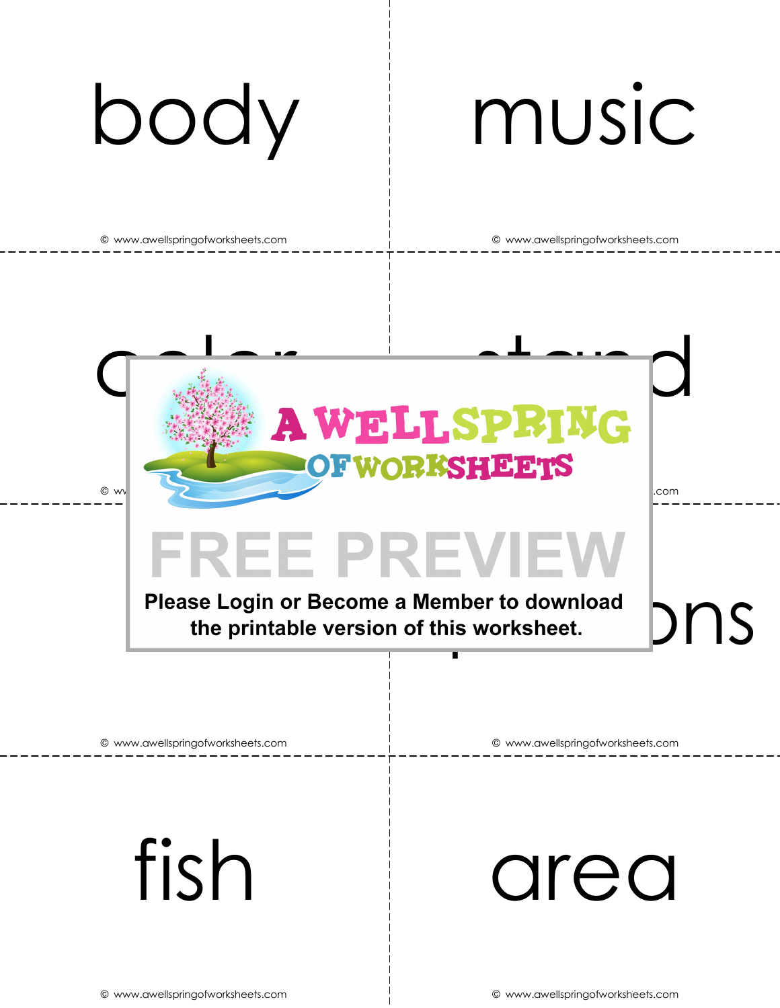# body music

 $\odot$  wv

© www.awellspringofworksheets.com © www.awellspringofworksheets.com

.com



### **FREE PREVIEW**

Please Login or Become a Member to download  $\bigcirc$  norm the printable version of this worksheet.

© www.awellspringofworksheets.com © www.awellspringofworksheets.com

fish area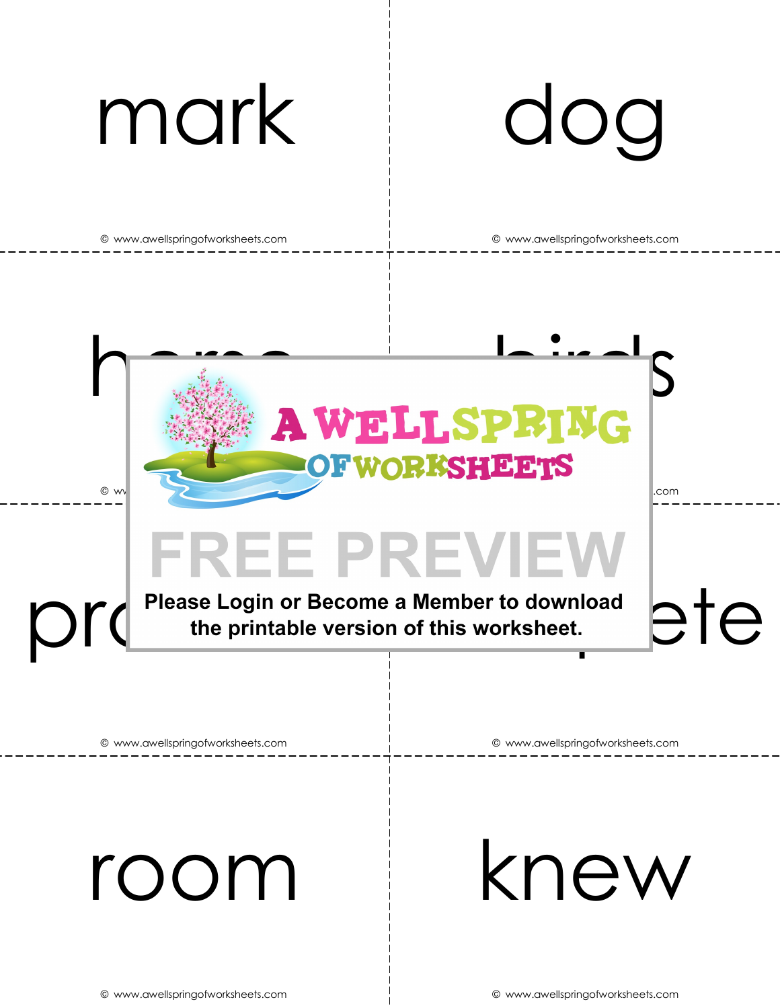



# problem complete

© www.awellspringofworksheets.com © www.awellspringofworksheets.com

room knew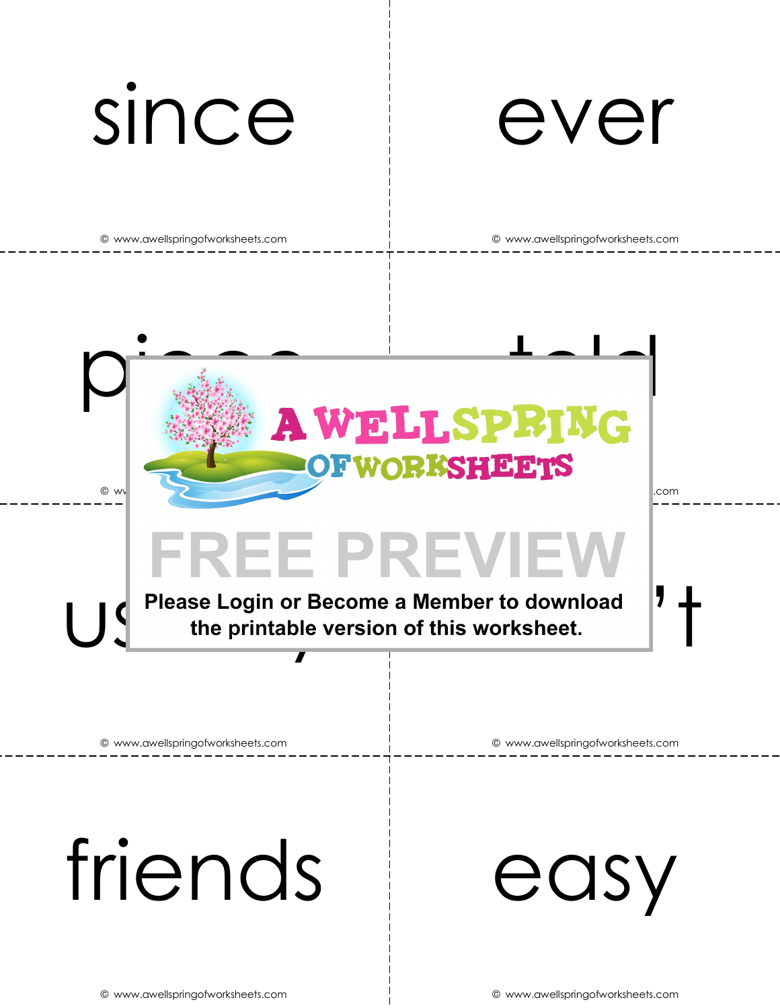



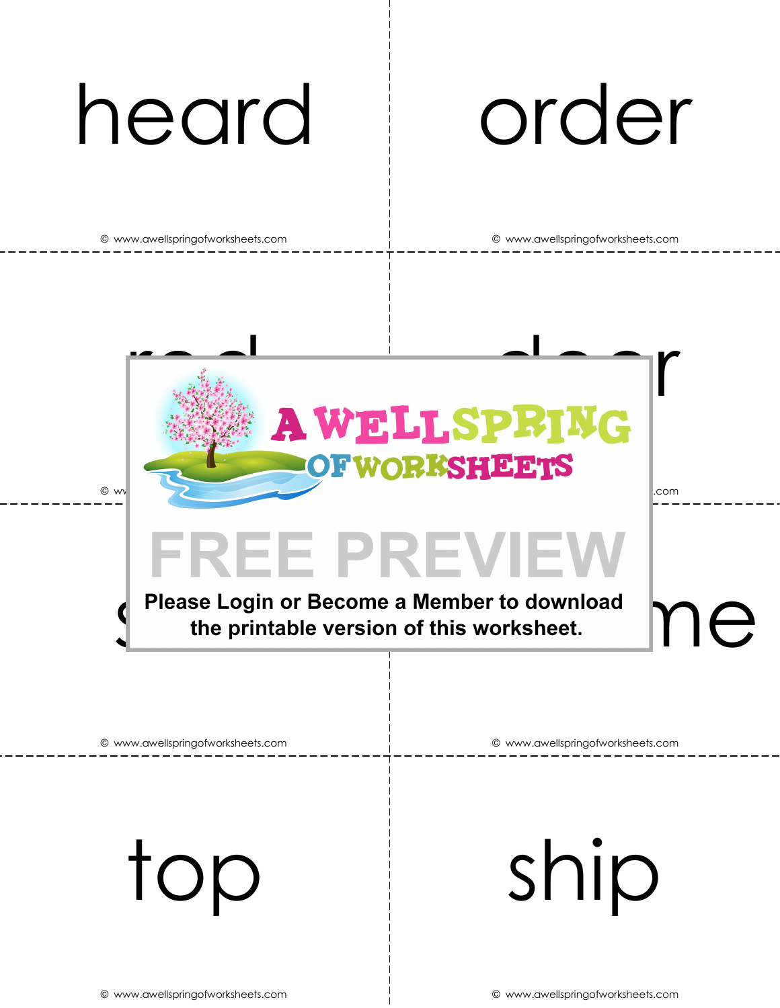# heard order

© www.awellspringofworksheets.com © www.awellspringofworksheets.com



© www.awellspringofworksheets.com © www.awellspringofworksheets.com

top ship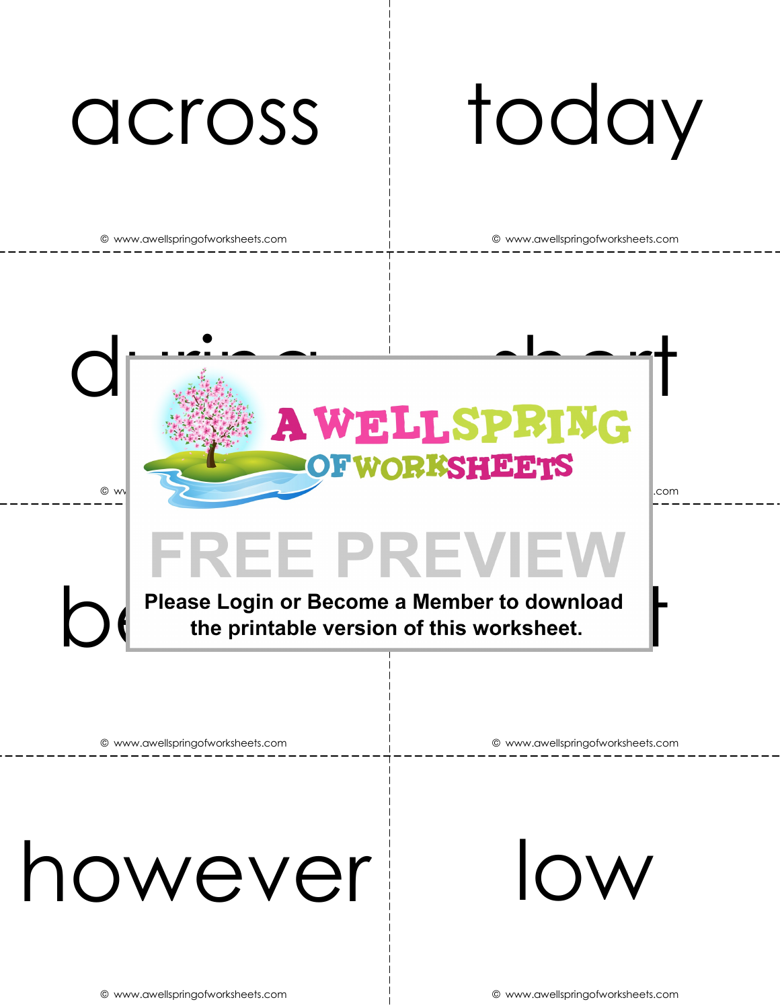# across today

© www.awellspringofworksheets.com © www.awellspringofworksheets.com



FREE PREVIEW<br>Please Login or Become a Member to download<br>the printable version of this worksheet.

© www.awellspringofworksheets.com © www.awellspringofworksheets.com

### however low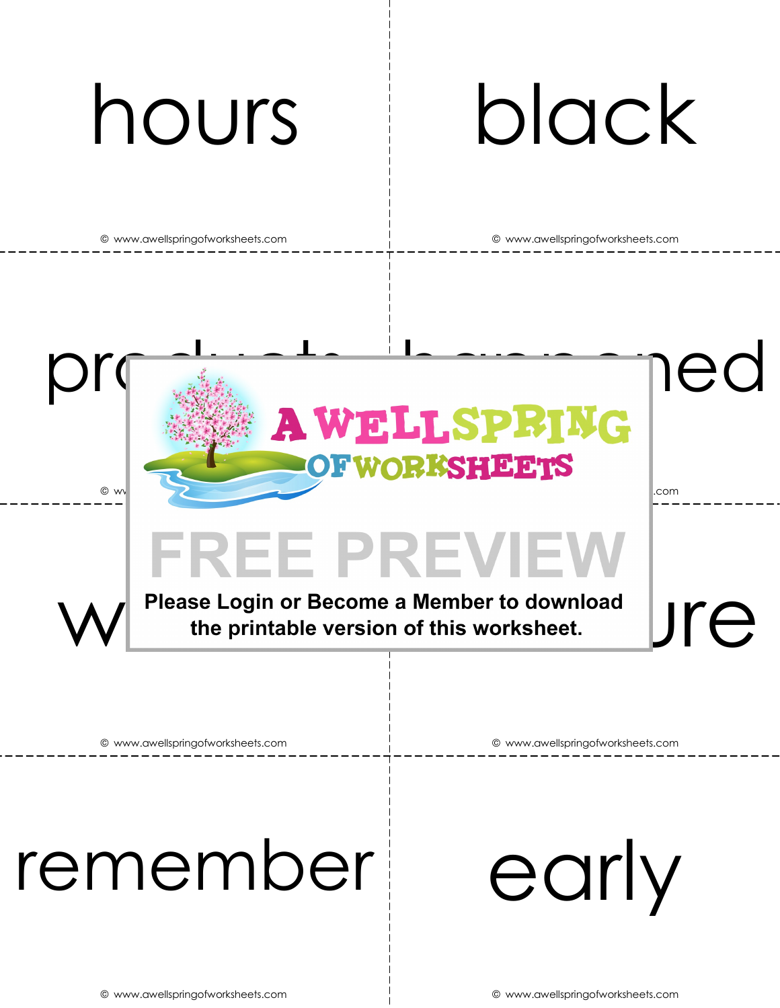# hours black

© www.awellspringofworksheets.com © www.awellspringofworksheets.com



# FREE PREVIEW<br>Please Login or Become a Member to download<br>the printable version of this worksheet.



© www.awellspringofworksheets.com © www.awellspringofworksheets.com

### remember early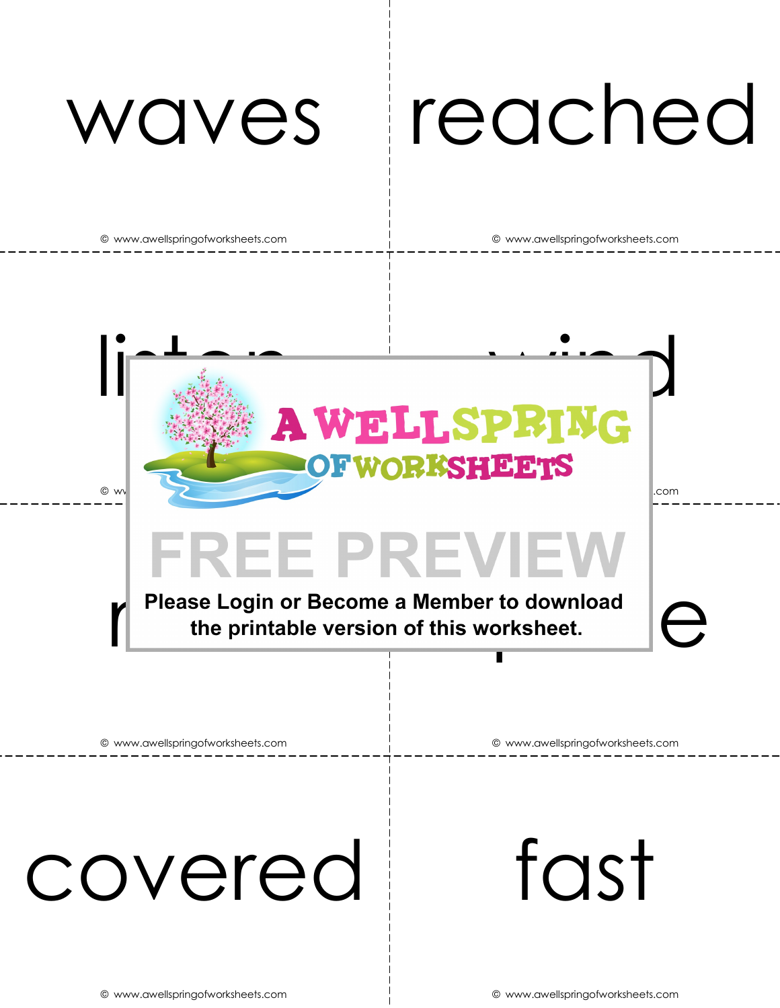# waves reached

© www.awellspringofworksheets.com © www.awellspringofworksheets.com



## covered fast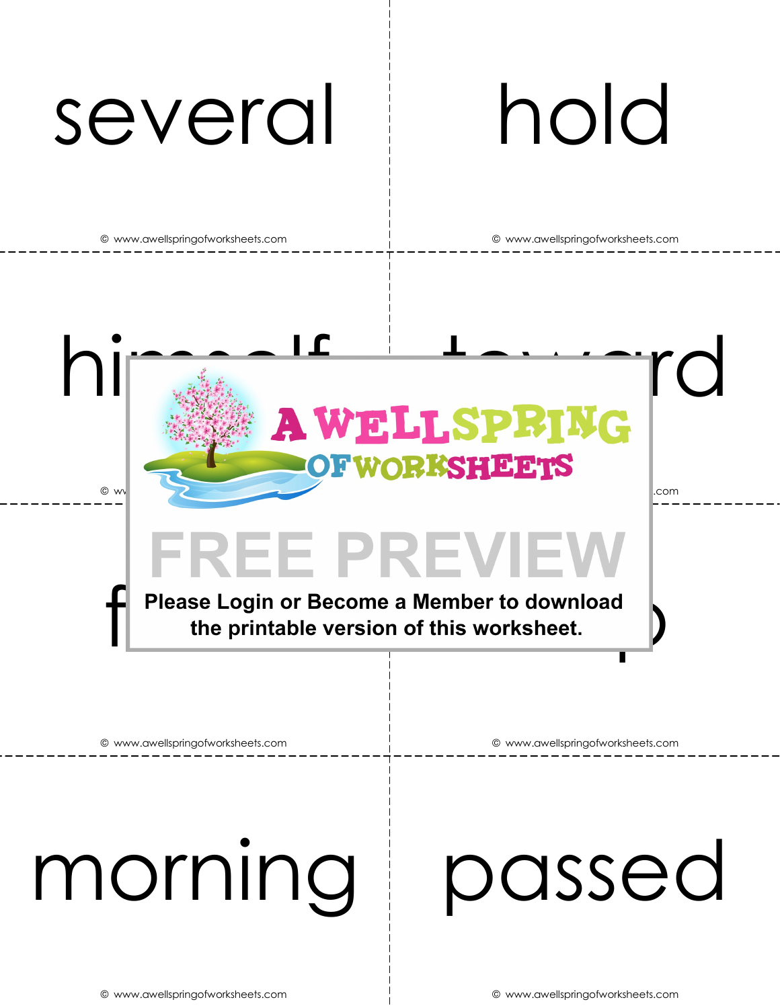### several hold

© www.awellspringofworksheets.com © www.awellspringofworksheets.com

himself toward **OFWORKSHEETS** © www.awellspringofworksheets.com © www.awellspringofworksheets.com FREE PREVIEW<br>Please Login or Become a Member to download<br>the printable version of this worksheet.

© www.awellspringofworksheets.com © www.awellspringofworksheets.com

# morning passed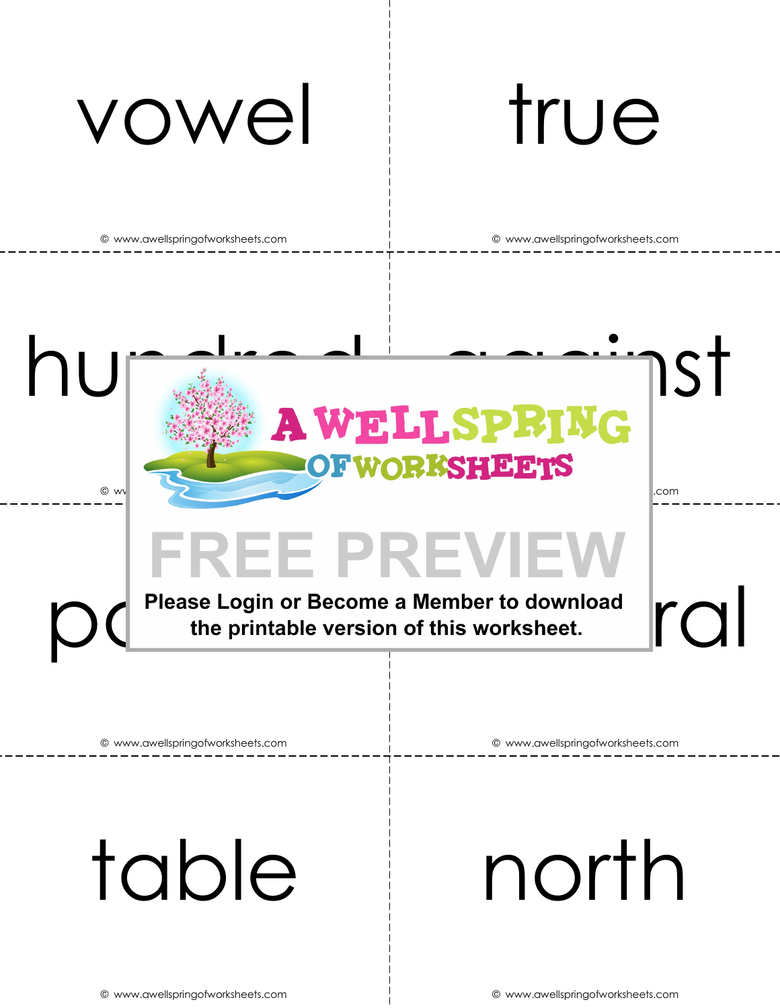



# FREE PREVIEW<br>Please Login or Become a Member to download<br>the printable version of this worksheet.

© www.awellspringofworksheets.com © www.awellspringofworksheets.com

## table north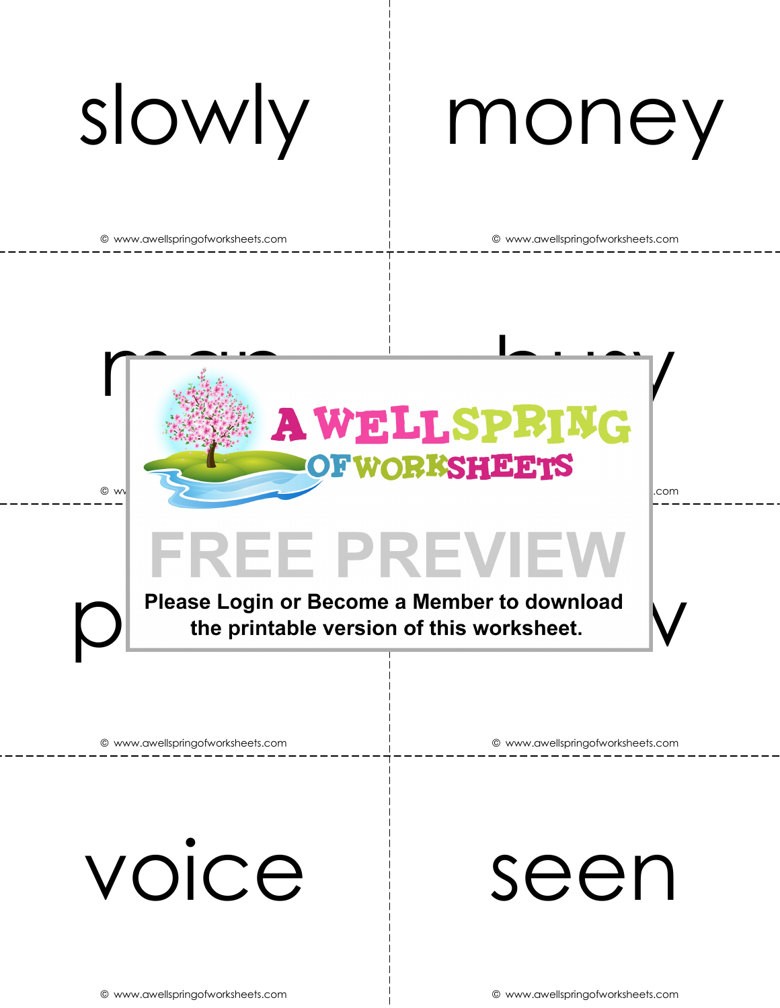# slowly money

© www.awellspringofworksheets.com © www.awellspringofworksheets.com



### **FREE PREVIEW**

Please Login or Become a Member to download<br>the printable version of this worksheet.

© www.awellspringofworksheets.com © www.awellspringofworksheets.com

voice seen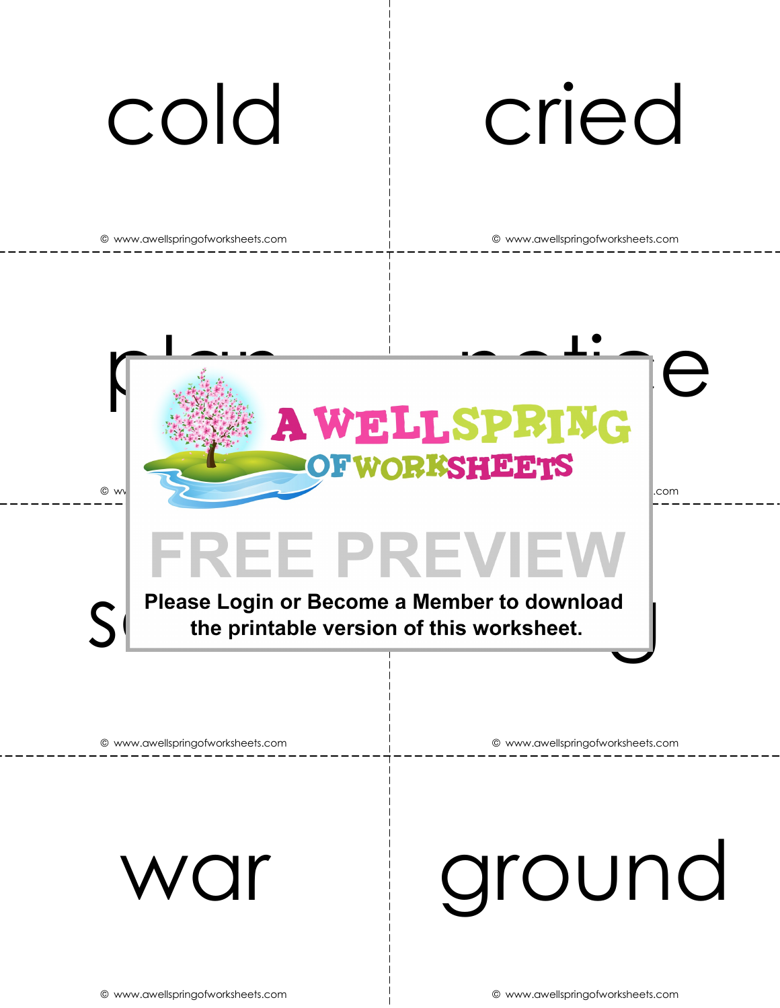## cold cried

© www.awellspringofworksheets.com © www.awellspringofworksheets.com



war ground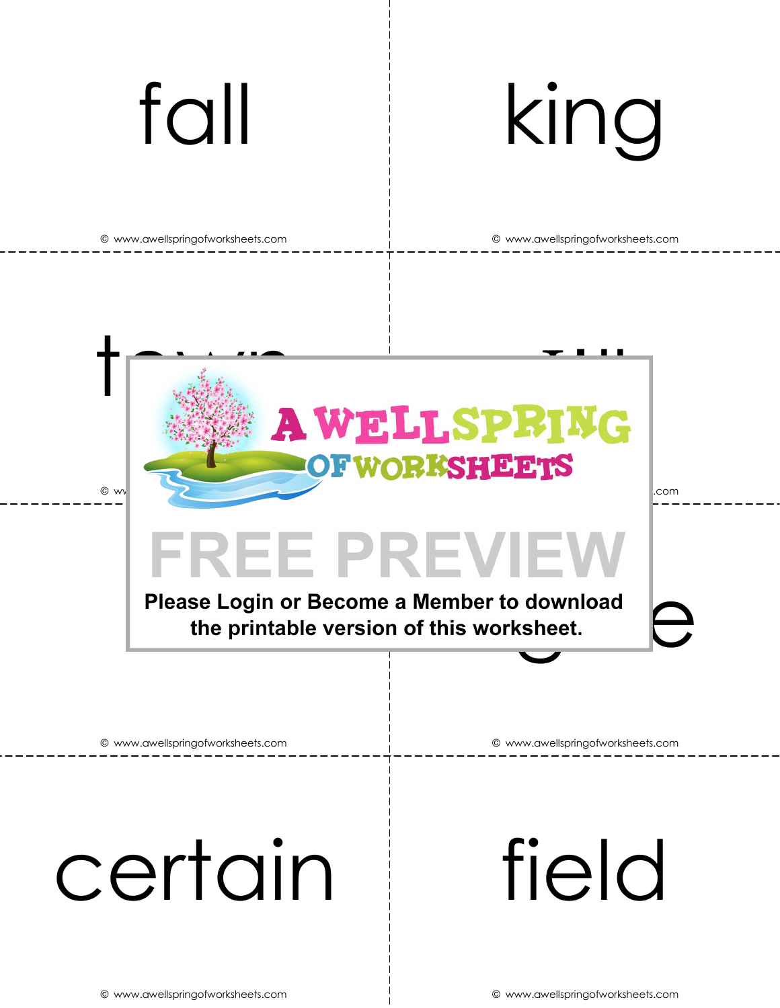# fall king

© www.awellspringofworksheets.com © www.awellspringofworksheets.com

**AWELLSPRING OFWORKSHEETS** © www.awellspringofworksheets.com © www.awellspringofworksheets.com

### **FREE PREVIEW**

Please Login or Become a Member to download<br>the printable version of this worksheet.

© www.awellspringofworksheets.com © www.awellspringofworksheets.com

# certain field